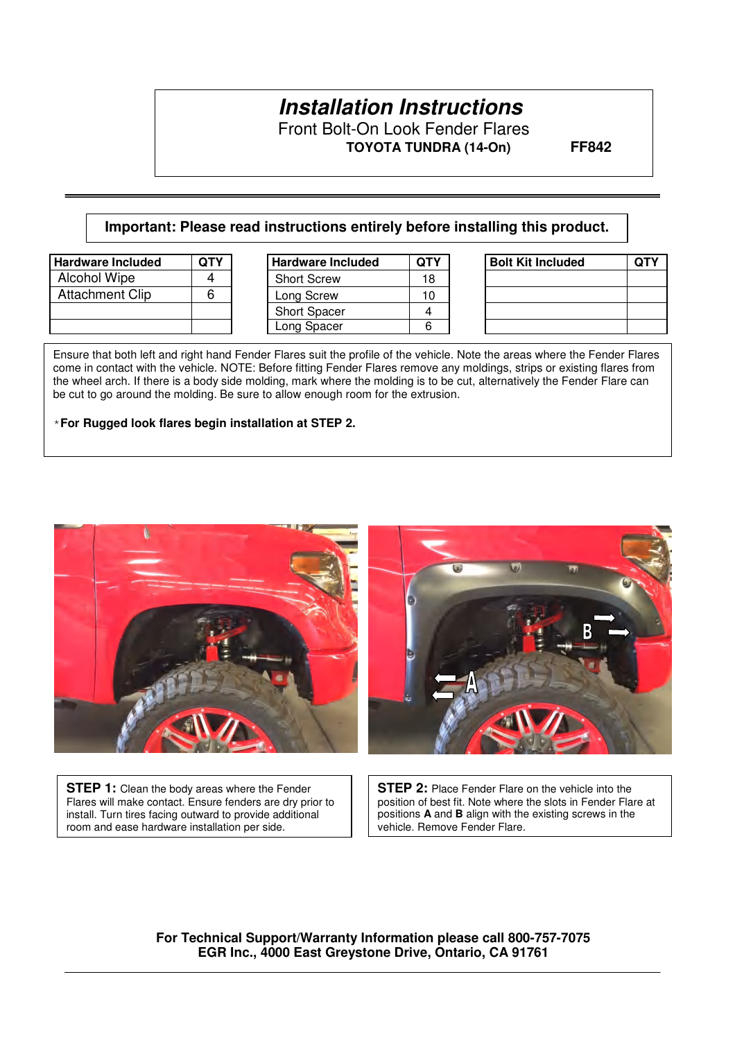# **Installation Instructions**

Front Bolt-On Look Fender Flares  **TOYOTA TUNDRA (14-On) FF842** 

#### **Important: Please read instructions entirely before installing this product.**

| <b>Hardware Included</b> | ОТҮ | <b>Hardware Included</b> |    |
|--------------------------|-----|--------------------------|----|
| <b>Alcohol Wipe</b>      |     | <b>Short Screw</b>       | 18 |
| <b>Attachment Clip</b>   |     | Long Screw               |    |
|                          |     | <b>Short Spacer</b>      |    |
|                          |     | Long Spacer              |    |

| <b>Hardware Included</b> | <b>QTY</b> | <b>Hardware Included</b> | <b>QTY</b> | <b>Bolt Kit Included</b> | <b>QTY</b> |
|--------------------------|------------|--------------------------|------------|--------------------------|------------|
| Alcohol Wipe             |            | <b>Short Screw</b>       | 18         |                          |            |
| <b>Attachment Clip</b>   |            | Long Screw               | 10         |                          |            |
|                          |            | <b>Short Spacer</b>      |            |                          |            |
|                          |            | Long Spacer              | 6          |                          |            |

| <b>Bolt Kit Included</b> | <b>QTY</b> |  |  |
|--------------------------|------------|--|--|
|                          |            |  |  |
|                          |            |  |  |
|                          |            |  |  |
|                          |            |  |  |

Ensure that both left and right hand Fender Flares suit the profile of the vehicle. Note the areas where the Fender Flares come in contact with the vehicle. NOTE: Before fitting Fender Flares remove any moldings, strips or existing flares from the wheel arch. If there is a body side molding, mark where the molding is to be cut, alternatively the Fender Flare can be cut to go around the molding. Be sure to allow enough room for the extrusion.

\***For Rugged look flares begin installation at STEP 2.**



**STEP 1:** Clean the body areas where the Fender Flares will make contact. Ensure fenders are dry prior to install. Turn tires facing outward to provide additional room and ease hardware installation per side.

**STEP 2:** Place Fender Flare on the vehicle into the position of best fit. Note where the slots in Fender Flare at positions **A** and **B** align with the existing screws in the vehicle. Remove Fender Flare.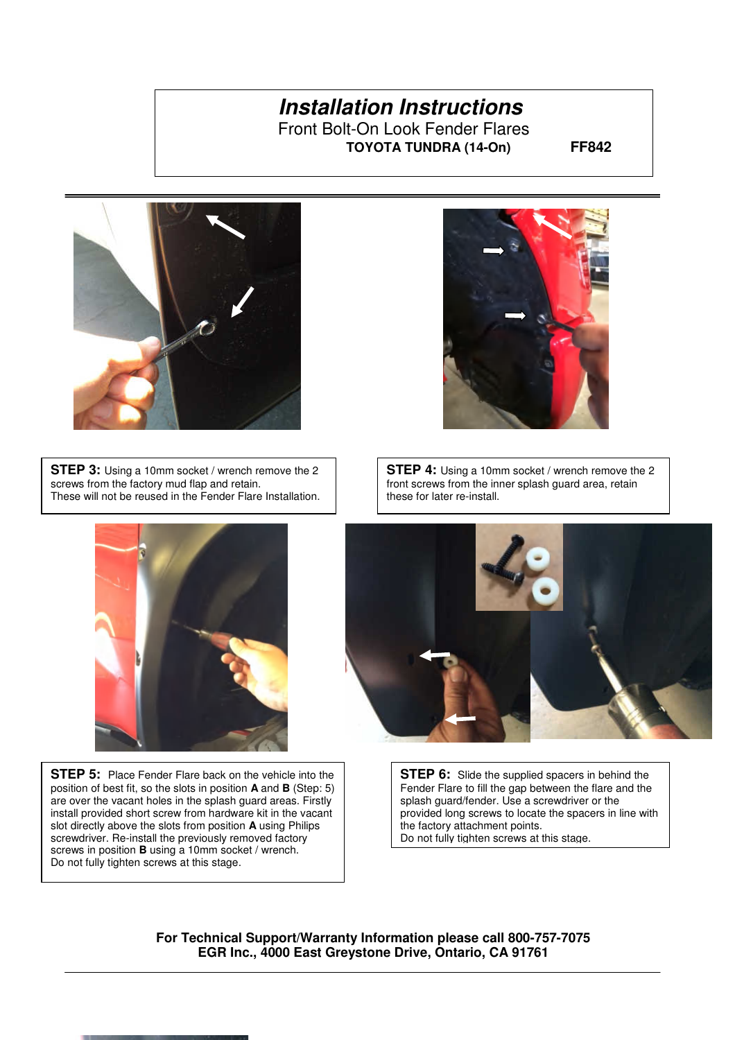**TOYOTA TUNDRA (14-On) FF842** 



**STEP 3:** Using a 10mm socket / wrench remove the 2 screws from the factory mud flap and retain. These will not be reused in the Fender Flare Installation.



 install provided short screw from hardware kit in the vacant **STEP 5:** Place Fender Flare back on the vehicle into the position of best fit, so the slots in position **A** and **B** (Step: 5) are over the vacant holes in the splash guard areas. Firstly slot directly above the slots from position **A** using Philips screwdriver. Re-install the previously removed factory screws in position **B** using a 10mm socket / wrench. Do not fully tighten screws at this stage.



**STEP 4:** Using a 10mm socket / wrench remove the 2 front screws from the inner splash guard area, retain these for later re-install.



**STEP 6:** Slide the supplied spacers in behind the Fender Flare to fill the gap between the flare and the splash guard/fender. Use a screwdriver or the provided long screws to locate the spacers in line with the factory attachment points. Do not fully tighten screws at this stage.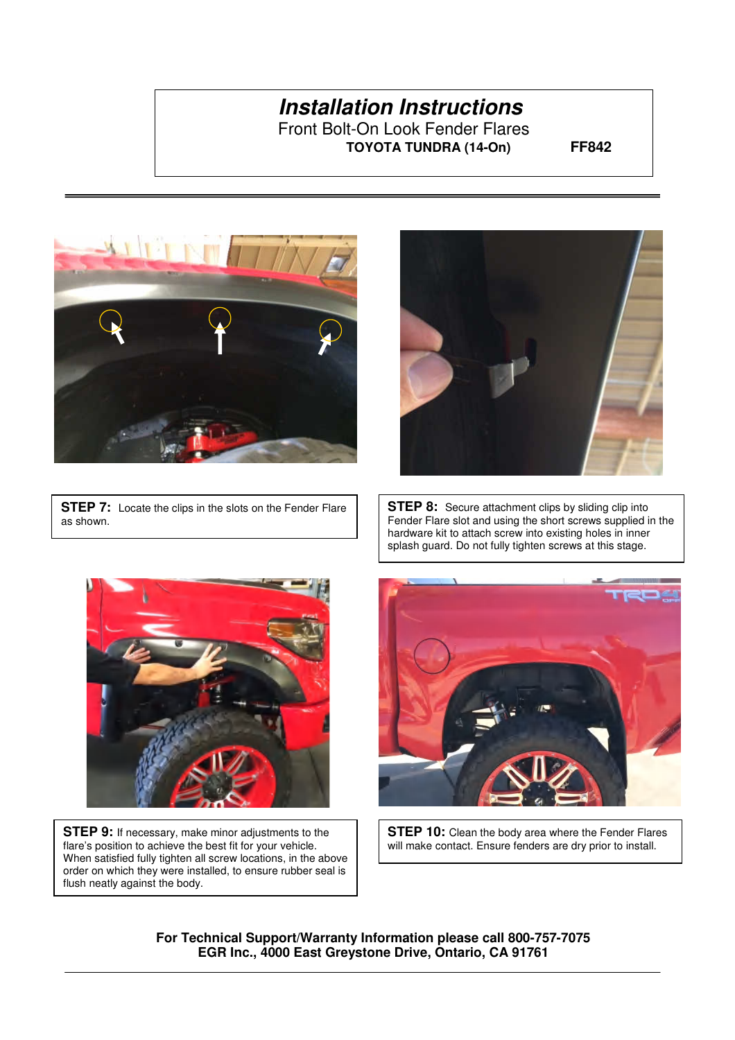**TOYOTA TUNDRA (14-On) FF842** 



**STEP 7:** Locate the clips in the slots on the Fender Flare as shown.



**STEP 8:** Secure attachment clips by sliding clip into Fender Flare slot and using the short screws supplied in the hardware kit to attach screw into existing holes in inner splash guard. Do not fully tighten screws at this stage.



**STEP 9:** If necessary, make minor adjustments to the flare's position to achieve the best fit for your vehicle. When satisfied fully tighten all screw locations, in the above order on which they were installed, to ensure rubber seal is flush neatly against the body.



**STEP 10:** Clean the body area where the Fender Flares will make contact. Ensure fenders are dry prior to install.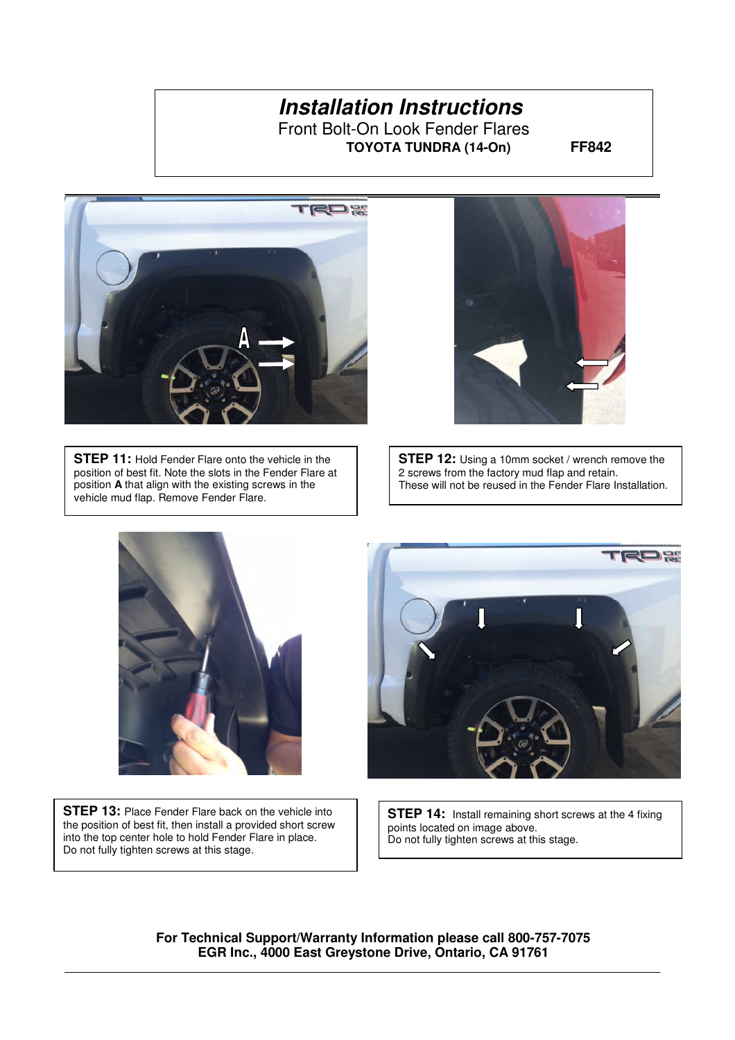**TOYOTA TUNDRA (14-On) FF842** 



**STEP 11:** Hold Fender Flare onto the vehicle in the position of best fit. Note the slots in the Fender Flare at position **A** that align with the existing screws in the vehicle mud flap. Remove Fender Flare.



**STEP 12:** Using a 10mm socket / wrench remove the 2 screws from the factory mud flap and retain. These will not be reused in the Fender Flare Installation.



**STEP 13: Place Fender Flare back on the vehicle into** the position of best fit, then install a provided short screw into the top center hole to hold Fender Flare in place. Do not fully tighten screws at this stage.



**STEP 14:** Install remaining short screws at the 4 fixing points located on image above. Do not fully tighten screws at this stage.